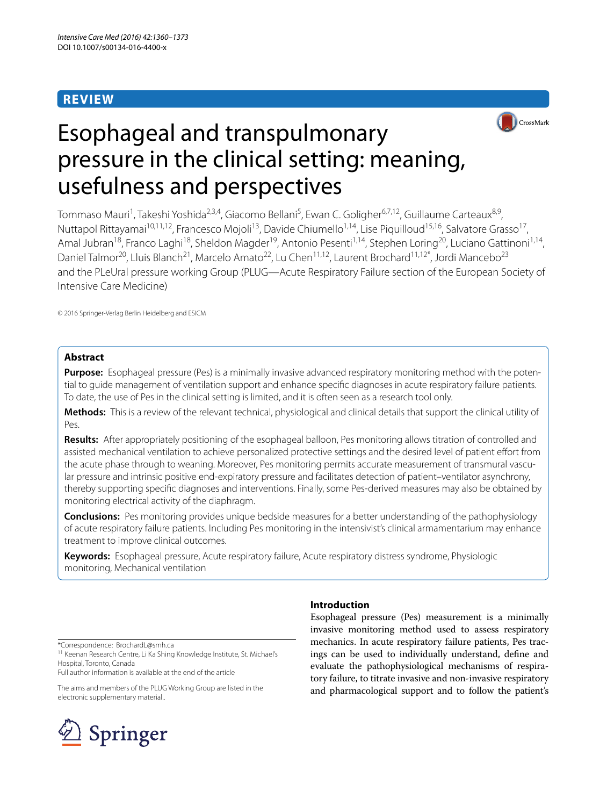# **REVIEW**



# Esophageal and transpulmonary pressure in the clinical setting: meaning, usefulness and perspectives

Tommaso Mauri<sup>1</sup>, Takeshi Yoshida<sup>2,3,4</sup>, Giacomo Bellani<sup>5</sup>, Ewan C. Goligher<sup>6,7,12</sup>, Guillaume Carteaux<sup>8,9</sup>, Nuttapol Rittayamai<sup>10,11,12</sup>, Francesco Mojoli<sup>13</sup>, Davide Chiumello<sup>1,14</sup>, Lise Piquilloud<sup>15,16</sup>, Salvatore Grasso<sup>17</sup>, Amal Jubran<sup>18</sup>, Franco Laghi<sup>18</sup>, Sheldon Magder<sup>19</sup>, Antonio Pesenti<sup>1,14</sup>, Stephen Loring<sup>20</sup>, Luciano Gattinoni<sup>1,14</sup>, Daniel Talmor<sup>20</sup>, Lluis Blanch<sup>21</sup>, Marcelo Amato<sup>22</sup>, Lu Chen<sup>11,12</sup>, Laurent Brochard<sup>11,12\*</sup>, Jordi Mancebo<sup>23</sup> and the PLeUral pressure working Group (PLUG—Acute Respiratory Failure section of the European Society of Intensive Care Medicine)

© 2016 Springer-Verlag Berlin Heidelberg and ESICM

# **Abstract**

**Purpose:** Esophageal pressure (Pes) is a minimally invasive advanced respiratory monitoring method with the potential to guide management of ventilation support and enhance specific diagnoses in acute respiratory failure patients. To date, the use of Pes in the clinical setting is limited, and it is often seen as a research tool only.

**Methods:** This is a review of the relevant technical, physiological and clinical details that support the clinical utility of Pes.

**Results:** After appropriately positioning of the esophageal balloon, Pes monitoring allows titration of controlled and assisted mechanical ventilation to achieve personalized protective settings and the desired level of patient effort from the acute phase through to weaning. Moreover, Pes monitoring permits accurate measurement of transmural vascular pressure and intrinsic positive end-expiratory pressure and facilitates detection of patient–ventilator asynchrony, thereby supporting specific diagnoses and interventions. Finally, some Pes-derived measures may also be obtained by monitoring electrical activity of the diaphragm.

**Conclusions:** Pes monitoring provides unique bedside measures for a better understanding of the pathophysiology of acute respiratory failure patients. Including Pes monitoring in the intensivist's clinical armamentarium may enhance treatment to improve clinical outcomes.

**Keywords:** Esophageal pressure, Acute respiratory failure, Acute respiratory distress syndrome, Physiologic monitoring, Mechanical ventilation

\*Correspondence: BrochardL@smh.ca

11 Keenan Research Centre, Li Ka Shing Knowledge Institute, St. Michael's Hospital, Toronto, Canada

Full author information is available at the end of the article

The aims and members of the PLUG Working Group are listed in the electronic supplementary material..

# **Introduction**

Esophageal pressure (Pes) measurement is a minimally invasive monitoring method used to assess respiratory mechanics. In acute respiratory failure patients, Pes tracings can be used to individually understand, define and evaluate the pathophysiological mechanisms of respiratory failure, to titrate invasive and non-invasive respiratory and pharmacological support and to follow the patient's

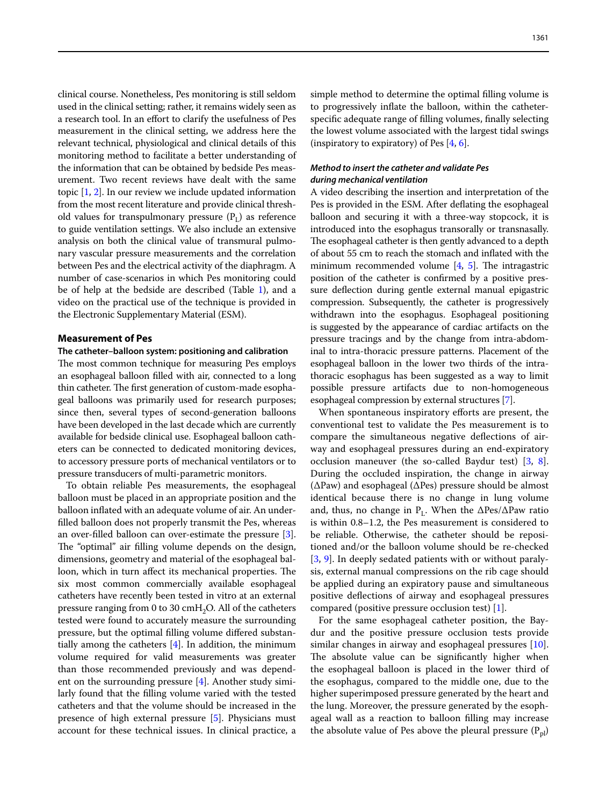clinical course. Nonetheless, Pes monitoring is still seldom used in the clinical setting; rather, it remains widely seen as a research tool. In an effort to clarify the usefulness of Pes measurement in the clinical setting, we address here the relevant technical, physiological and clinical details of this monitoring method to facilitate a better understanding of the information that can be obtained by bedside Pes measurement. Two recent reviews have dealt with the same topic [[1](#page-12-0), [2\]](#page-12-1). In our review we include updated information from the most recent literature and provide clinical threshold values for transpulmonary pressure  $(P<sub>1</sub>)$  as reference to guide ventilation settings. We also include an extensive analysis on both the clinical value of transmural pulmonary vascular pressure measurements and the correlation between Pes and the electrical activity of the diaphragm. A number of case-scenarios in which Pes monitoring could be of help at the bedside are described (Table [1](#page-2-0)), and a video on the practical use of the technique is provided in the Electronic Supplementary Material (ESM).

## **Measurement of Pes**

#### **The catheter–balloon system: positioning and calibration**

The most common technique for measuring Pes employs an esophageal balloon filled with air, connected to a long thin catheter. The first generation of custom-made esophageal balloons was primarily used for research purposes; since then, several types of second-generation balloons have been developed in the last decade which are currently available for bedside clinical use. Esophageal balloon catheters can be connected to dedicated monitoring devices, to accessory pressure ports of mechanical ventilators or to pressure transducers of multi-parametric monitors.

To obtain reliable Pes measurements, the esophageal balloon must be placed in an appropriate position and the balloon inflated with an adequate volume of air. An underfilled balloon does not properly transmit the Pes, whereas an over-filled balloon can over-estimate the pressure [\[3](#page-12-2)]. The "optimal" air filling volume depends on the design, dimensions, geometry and material of the esophageal balloon, which in turn affect its mechanical properties. The six most common commercially available esophageal catheters have recently been tested in vitro at an external pressure ranging from 0 to 30  $cmH<sub>2</sub>O$ . All of the catheters tested were found to accurately measure the surrounding pressure, but the optimal filling volume differed substantially among the catheters  $[4]$  $[4]$ . In addition, the minimum volume required for valid measurements was greater than those recommended previously and was dependent on the surrounding pressure [\[4\]](#page-12-3). Another study similarly found that the filling volume varied with the tested catheters and that the volume should be increased in the presence of high external pressure [\[5](#page-12-4)]. Physicians must account for these technical issues. In clinical practice, a

simple method to determine the optimal filling volume is to progressively inflate the balloon, within the catheterspecific adequate range of filling volumes, finally selecting the lowest volume associated with the largest tidal swings (inspiratory to expiratory) of Pes  $[4, 6]$  $[4, 6]$  $[4, 6]$ .

# *Method to insert the catheter and validate Pes during mechanical ventilation*

A video describing the insertion and interpretation of the Pes is provided in the ESM. After deflating the esophageal balloon and securing it with a three-way stopcock, it is introduced into the esophagus transorally or transnasally. The esophageal catheter is then gently advanced to a depth of about 55 cm to reach the stomach and inflated with the minimum recommended volume  $[4, 5]$  $[4, 5]$  $[4, 5]$  $[4, 5]$ . The intragastric position of the catheter is confirmed by a positive pressure deflection during gentle external manual epigastric compression. Subsequently, the catheter is progressively withdrawn into the esophagus. Esophageal positioning is suggested by the appearance of cardiac artifacts on the pressure tracings and by the change from intra-abdominal to intra-thoracic pressure patterns. Placement of the esophageal balloon in the lower two thirds of the intrathoracic esophagus has been suggested as a way to limit possible pressure artifacts due to non-homogeneous esophageal compression by external structures [[7](#page-12-6)].

When spontaneous inspiratory efforts are present, the conventional test to validate the Pes measurement is to compare the simultaneous negative deflections of airway and esophageal pressures during an end-expiratory occlusion maneuver (the so-called Baydur test) [\[3](#page-12-2), [8](#page-12-7)]. During the occluded inspiration, the change in airway (∆Paw) and esophageal (∆Pes) pressure should be almost identical because there is no change in lung volume and, thus, no change in P<sub>L</sub>. When the  $\Delta \text{Pes}/\Delta \text{Paw}$  ratio is within 0.8–1.2, the Pes measurement is considered to be reliable. Otherwise, the catheter should be repositioned and/or the balloon volume should be re-checked [[3,](#page-12-2) [9\]](#page-12-8). In deeply sedated patients with or without paralysis, external manual compressions on the rib cage should be applied during an expiratory pause and simultaneous positive deflections of airway and esophageal pressures compared (positive pressure occlusion test) [\[1\]](#page-12-0).

For the same esophageal catheter position, the Baydur and the positive pressure occlusion tests provide similar changes in airway and esophageal pressures [\[10](#page-12-9)]. The absolute value can be significantly higher when the esophageal balloon is placed in the lower third of the esophagus, compared to the middle one, due to the higher superimposed pressure generated by the heart and the lung. Moreover, the pressure generated by the esophageal wall as a reaction to balloon filling may increase the absolute value of Pes above the pleural pressure  $(P_{p})$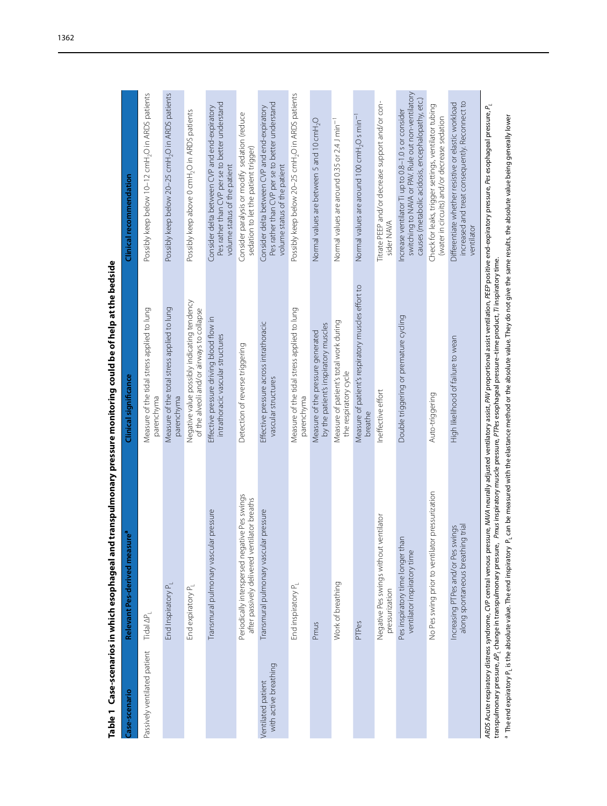| Case-scenario                               | Relevant Pes-derived measure <sup>a</sup>                                                                                                                                                                                                                         | Clinical significance                                                                          | <b>Clinical recommendation</b>                                                                                                                                |
|---------------------------------------------|-------------------------------------------------------------------------------------------------------------------------------------------------------------------------------------------------------------------------------------------------------------------|------------------------------------------------------------------------------------------------|---------------------------------------------------------------------------------------------------------------------------------------------------------------|
| Passively ventilated patient                | Tidal AP                                                                                                                                                                                                                                                          | Measure of the tidal stress applied to lung<br>parenchyma                                      | Possibly keep below 10-12 cmH <sub>2</sub> O in ARDS patients                                                                                                 |
|                                             | End Inspiratory P <sub>L</sub>                                                                                                                                                                                                                                    | Measure of the total stress applied to lung<br>parenchyma                                      | Possibly keep below 20-25 cmH <sub>2</sub> O in ARDS patients                                                                                                 |
|                                             | End expiratory P <sub>L</sub>                                                                                                                                                                                                                                     | Negative value possibly indicating tendency<br>of the alveoli and/or airways to collapse       | Possibly keep above 0 cmH <sub>2</sub> O in ARDS patients                                                                                                     |
|                                             | Transmural pulmonary vascular pressure                                                                                                                                                                                                                            | Effective pressure driving blood flow in<br>intrathoracic vascular structures                  | Pes rather than CVP per se to better understand<br>Consider delta between CVP and end-expiratory<br>volume status of the patient                              |
|                                             | Periodically interspersed negative Pes swings<br>after passively delivered ventilator breaths                                                                                                                                                                     | Detection of reverse triggering                                                                | Consider paralysis or modify sedation (reduce<br>sedation to let the patient trigger)                                                                         |
| with active breathing<br>Ventilated patient | Transmural pulmonary vascular pressure                                                                                                                                                                                                                            | Effective pressure across intrathoracic<br>vascular structures                                 | Pes rather than CVP per se to better understand<br>Consider delta between CVP and end-expiratory<br>volume status of the patient                              |
|                                             | End inspiratory P <sub>L</sub>                                                                                                                                                                                                                                    | Measure of the tidal stress applied to lung<br>parenchyma                                      | Possibly keep below 20-25 cmH <sub>2</sub> O in ARDS patients                                                                                                 |
|                                             | Pmus                                                                                                                                                                                                                                                              | by the patient's inspiratory muscles<br>Measure of the pressure generated                      | Normal values are between 5 and 10 cmH <sub>2</sub> O                                                                                                         |
|                                             | Work of breathing                                                                                                                                                                                                                                                 | Measure of patient's total work during<br>the respiratory cycle                                | Normal values are around 0.35 or 2.4 J min <sup>-1</sup>                                                                                                      |
|                                             | PTPes                                                                                                                                                                                                                                                             | Measure of patient's respiratory muscles effort to<br>breathe                                  | Normal values are around 100 cmH <sub>2</sub> O s min <sup>-1</sup>                                                                                           |
|                                             | ventilator<br>Negative Pes swings without<br>pressurization                                                                                                                                                                                                       | Ineffective effort                                                                             | Titrate PEEP and/or decrease support and/or con-<br>sider NAVA                                                                                                |
|                                             | Pes inspiratory time longer than<br>ventilator inspiratory time                                                                                                                                                                                                   | Double triggering or premature cycling                                                         | switching to NAVA or PAV. Rule out non-ventilatory<br>causes (metabolic acidosis, encephalopathy, etc.)<br>Increase ventilator Ti up to 0.8-1.0 s or consider |
|                                             | No Pes swing prior to ventilator pressurization                                                                                                                                                                                                                   | Auto-triggering                                                                                | Check for leaks, trigger settings, ventilator tubing<br>(water in circuits) and/or decrease sedation                                                          |
|                                             | along spontaneous breathing trial<br>Increasing PTPes and/or Pes swings                                                                                                                                                                                           | High likelihood of failure to wean                                                             | increased and treat consequently. Reconnect to<br>Differentiate whether resistive or elastic workload<br>ventilator                                           |
|                                             | ARDS Acute respiratory distress syndrome, CVP central ventral veno our sesure, MAM adjusted ventilation, assist ventilation, PEEP positive end-expiratory pressure, Pes esophageal pressure, P<br>transpulmonary pressure, AP, change in transpulmonary pressure, | Pmus inspiratory muscle pressure, PTPes esophageal pressure-time product, Ti inspiratory time. |                                                                                                                                                               |

<sup>a</sup> The end expiratory P<sub>L</sub> is the absolute value. The end inspiratory P<sub>L</sub> can be measured with the elastance method or the absolute value. They do not give the same results, the absolute value being generally lower  $^8$  The end expiratory P. is the absolute value. The end inspiratory P. can be measured with the elastance method or the absolute value. They do not give the same results, the absolute value being generally lower

<span id="page-2-0"></span>Table 1 Case-scenarios in which esophageal and transpulmonary pressure monitoring could be of help at the bedside **Table 1 Case-scenarios in which esophageal and transpulmonary pressure monitoring could be of help at the bedside**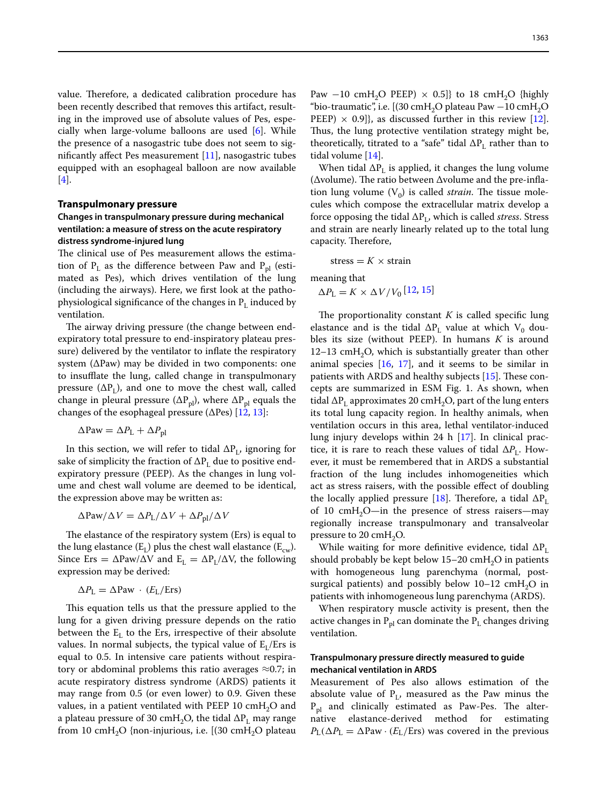value. Therefore, a dedicated calibration procedure has been recently described that removes this artifact, resulting in the improved use of absolute values of Pes, especially when large-volume balloons are used [[6\]](#page-12-5). While the presence of a nasogastric tube does not seem to significantly affect Pes measurement [\[11](#page-12-10)], nasogastric tubes equipped with an esophageal balloon are now available

## **Transpulmonary pressure**

[[4\]](#page-12-3).

# **Changes in transpulmonary pressure during mechanical ventilation: a measure of stress on the acute respiratory distress syndrome-injured lung**

The clinical use of Pes measurement allows the estimation of  $P_L$  as the difference between Paw and  $P_{pl}$  (estimated as Pes), which drives ventilation of the lung (including the airways). Here, we first look at the pathophysiological significance of the changes in  $P<sub>1</sub>$  induced by ventilation.

The airway driving pressure (the change between endexpiratory total pressure to end-inspiratory plateau pressure) delivered by the ventilator to inflate the respiratory system (∆Paw) may be divided in two components: one to insufflate the lung, called change in transpulmonary pressure ( $\Delta P_L$ ), and one to move the chest wall, called change in pleural pressure ( $\Delta P_{pl}$ ), where  $\Delta P_{pl}$  equals the changes of the esophageal pressure ( $\Delta$ Pes) [[12,](#page-12-11) [13\]](#page-12-12):

$$
\Delta \text{Paw} = \Delta P_{\text{L}} + \Delta P_{\text{pl}}
$$

In this section, we will refer to tidal  $\Delta P_L$ , ignoring for sake of simplicity the fraction of  $\Delta P_L$  due to positive endexpiratory pressure (PEEP). As the changes in lung volume and chest wall volume are deemed to be identical, the expression above may be written as:

$$
\Delta \text{Paw}/\Delta V = \Delta P_{\text{L}}/\Delta V + \Delta P_{\text{pl}}/\Delta V
$$

The elastance of the respiratory system (Ers) is equal to the lung elastance  $(E_1)$  plus the chest wall elastance  $(E_{cw})$ . Since Ers =  $\Delta$ Paw/ $\Delta$ V and E<sub>L</sub> =  $\Delta$ P<sub>L</sub>/ $\Delta$ V, the following expression may be derived:

$$
\Delta P_{\rm L} = \Delta \text{Paw} \cdot (E_{\rm L}/\text{Ers})
$$

This equation tells us that the pressure applied to the lung for a given driving pressure depends on the ratio between the  $E<sub>L</sub>$  to the Ers, irrespective of their absolute values. In normal subjects, the typical value of  $E_L/Ers$  is equal to 0.5. In intensive care patients without respiratory or abdominal problems this ratio averages  $\approx 0.7$ ; in acute respiratory distress syndrome (ARDS) patients it may range from 0.5 (or even lower) to 0.9. Given these values, in a patient ventilated with PEEP 10  $\text{cm}H_2O$  and a plateau pressure of 30 cmH<sub>2</sub>O, the tidal  $\Delta P$ <sub>I</sub> may range from 10 cmH<sub>2</sub>O {non-injurious, i.e.  $[(30 \text{ cm}H_2O \text{ plateau})]$ 

Paw  $-10$  cmH<sub>2</sub>O PEEP)  $\times$  0.5]} to 18 cmH<sub>2</sub>O {highly "bio-traumatic", i.e.  $[(30 \text{ cm})]$  plateau Paw  $-10 \text{ cm}$ H<sub>2</sub>O PEEP)  $\times$  0.9]}, as discussed further in this review [\[12](#page-12-11)]. Thus, the lung protective ventilation strategy might be, theoretically, titrated to a "safe" tidal  $\Delta P_L$  rather than to tidal volume [\[14\]](#page-12-13).

When tidal  $\Delta P$ <sub>I</sub> is applied, it changes the lung volume (∆volume). The ratio between ∆volume and the pre-inflation lung volume  $(V_0)$  is called *strain*. The tissue molecules which compose the extracellular matrix develop a force opposing the tidal  $\Delta P$ <sub>L</sub>, which is called *stress*. Stress and strain are nearly linearly related up to the total lung capacity. Therefore,

$$
stress = K \times strain
$$

meaning that

 $\Delta P_{\rm L} = K \times \Delta V / V_0$  [\[12,](#page-12-11) [15](#page-12-14)]

The proportionality constant  $K$  is called specific lung elastance and is the tidal  $\Delta P_L$  value at which V<sub>0</sub> doubles its size (without PEEP). In humans *K* is around  $12-13$  cmH<sub>2</sub>O, which is substantially greater than other animal species  $[16, 17]$  $[16, 17]$  $[16, 17]$ , and it seems to be similar in patients with ARDS and healthy subjects [\[15](#page-12-14)]. These concepts are summarized in ESM Fig. 1. As shown, when tidal  $\Delta P_L$  approximates 20 cmH<sub>2</sub>O, part of the lung enters its total lung capacity region. In healthy animals, when ventilation occurs in this area, lethal ventilator-induced lung injury develops within 24 h [[17\]](#page-12-16). In clinical practice, it is rare to reach these values of tidal ΔP<sub>L</sub>. However, it must be remembered that in ARDS a substantial fraction of the lung includes inhomogeneities which act as stress raisers, with the possible effect of doubling the locally applied pressure [\[18](#page-12-17)]. Therefore, a tidal  $\Delta P_L$ of 10  $\text{cm}H_2\text{O}$ —in the presence of stress raisers—may regionally increase transpulmonary and transalveolar pressure to 20 cm $H_2O$ .

While waiting for more definitive evidence, tidal  $\Delta P_L$ should probably be kept below  $15-20$  cmH<sub>2</sub>O in patients with homogeneous lung parenchyma (normal, postsurgical patients) and possibly below  $10-12$  cmH<sub>2</sub>O in patients with inhomogeneous lung parenchyma (ARDS).

When respiratory muscle activity is present, then the active changes in  $P_{pl}$  can dominate the  $P_L$  changes driving ventilation.

# **Transpulmonary pressure directly measured to guide mechanical ventilation in ARDS**

Measurement of Pes also allows estimation of the absolute value of  $P_L$ , measured as the Paw minus the  $P_{\text{pl}}$  and clinically estimated as Paw-Pes. The alternative elastance-derived method for estimating  $P_L(\Delta P_L = \Delta Paw \cdot (E_L/Ers)$  was covered in the previous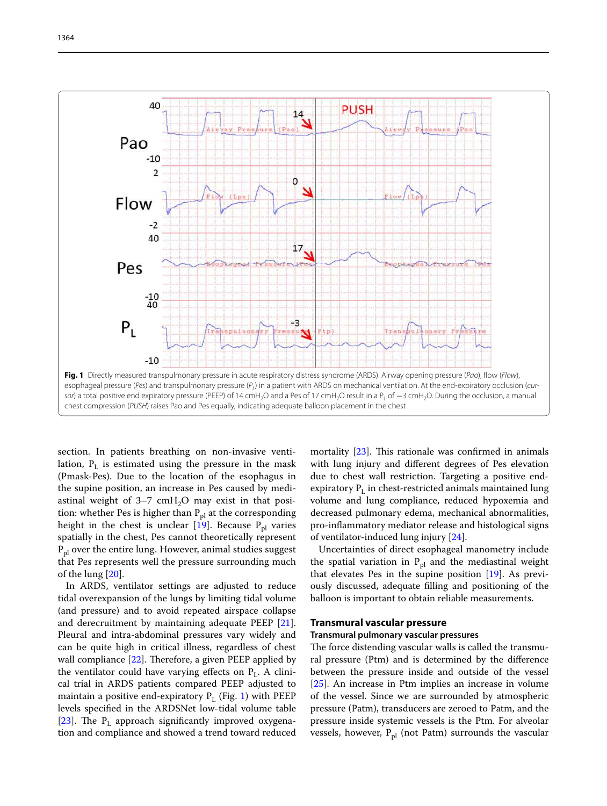

<span id="page-4-0"></span>section. In patients breathing on non-invasive ventilation,  $P_{L}$  is estimated using the pressure in the mask (Pmask-Pes). Due to the location of the esophagus in the supine position, an increase in Pes caused by mediastinal weight of  $3-7$  cmH<sub>2</sub>O may exist in that position: whether Pes is higher than  $P_{pl}$  at the corresponding height in the chest is unclear  $[\hat{19}]$ . Because P<sub>pl</sub> varies spatially in the chest, Pes cannot theoretically represent  $P_{\text{pl}}$  over the entire lung. However, animal studies suggest that Pes represents well the pressure surrounding much of the lung [[20\]](#page-12-19).

In ARDS, ventilator settings are adjusted to reduce tidal overexpansion of the lungs by limiting tidal volume (and pressure) and to avoid repeated airspace collapse and derecruitment by maintaining adequate PEEP [\[21](#page-12-20)]. Pleural and intra-abdominal pressures vary widely and can be quite high in critical illness, regardless of chest wall compliance [[22\]](#page-12-21). Therefore, a given PEEP applied by the ventilator could have varying effects on  $P_L$ . A clinical trial in ARDS patients compared PEEP adjusted to maintain a positive end-expiratory  $P_L$  (Fig. [1\)](#page-4-0) with PEEP levels specified in the ARDSNet low-tidal volume table [[23\]](#page-12-22). The  $P_L$  approach significantly improved oxygenation and compliance and showed a trend toward reduced

mortality [[23](#page-12-22)]. This rationale was confirmed in animals with lung injury and different degrees of Pes elevation due to chest wall restriction. Targeting a positive endexpiratory  $P<sub>L</sub>$  in chest-restricted animals maintained lung volume and lung compliance, reduced hypoxemia and decreased pulmonary edema, mechanical abnormalities, pro-inflammatory mediator release and histological signs of ventilator-induced lung injury [\[24](#page-12-23)].

Uncertainties of direct esophageal manometry include the spatial variation in  $P_{pl}$  and the mediastinal weight that elevates Pes in the supine position  $[19]$  $[19]$ . As previously discussed, adequate filling and positioning of the balloon is important to obtain reliable measurements.

### **Transmural vascular pressure**

#### **Transmural pulmonary vascular pressures**

The force distending vascular walls is called the transmural pressure (Ptm) and is determined by the difference between the pressure inside and outside of the vessel [[25\]](#page-12-24). An increase in Ptm implies an increase in volume of the vessel. Since we are surrounded by atmospheric pressure (Patm), transducers are zeroed to Patm, and the pressure inside systemic vessels is the Ptm. For alveolar vessels, however,  $P_{pl}$  (not Patm) surrounds the vascular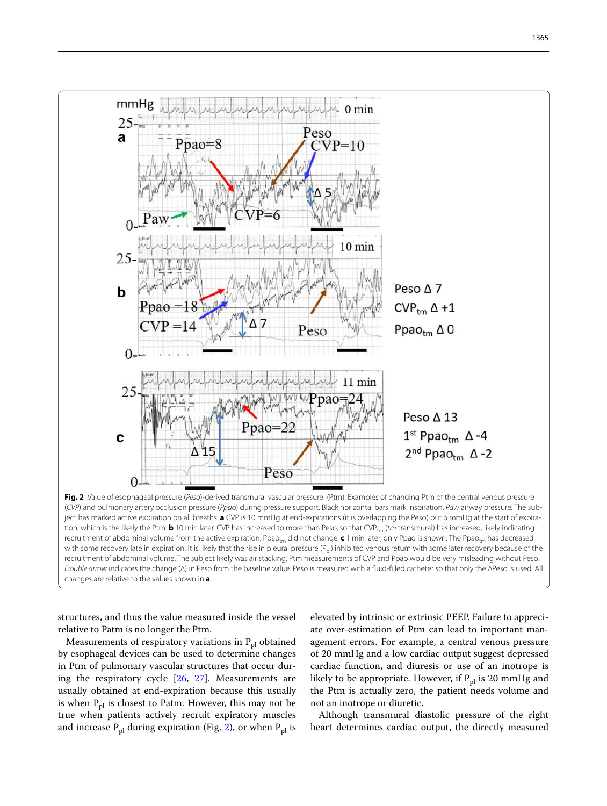

<span id="page-5-0"></span>structures, and thus the value measured inside the vessel relative to Patm is no longer the Ptm.

Measurements of respiratory variations in  $P_{pl}$  obtained by esophageal devices can be used to determine changes in Ptm of pulmonary vascular structures that occur during the respiratory cycle [\[26](#page-12-25), [27\]](#page-12-26). Measurements are usually obtained at end-expiration because this usually is when  $P_{pl}$  is closest to Patm. However, this may not be true when patients actively recruit expiratory muscles and increase  $P_{pl}$  during expiration (Fig. [2](#page-5-0)), or when  $P_{pl}$  is

elevated by intrinsic or extrinsic PEEP. Failure to appreciate over-estimation of Ptm can lead to important management errors. For example, a central venous pressure of 20 mmHg and a low cardiac output suggest depressed cardiac function, and diuresis or use of an inotrope is likely to be appropriate. However, if  $P_{pl}$  is 20 mmHg and the Ptm is actually zero, the patient needs volume and not an inotrope or diuretic.

Although transmural diastolic pressure of the right heart determines cardiac output, the directly measured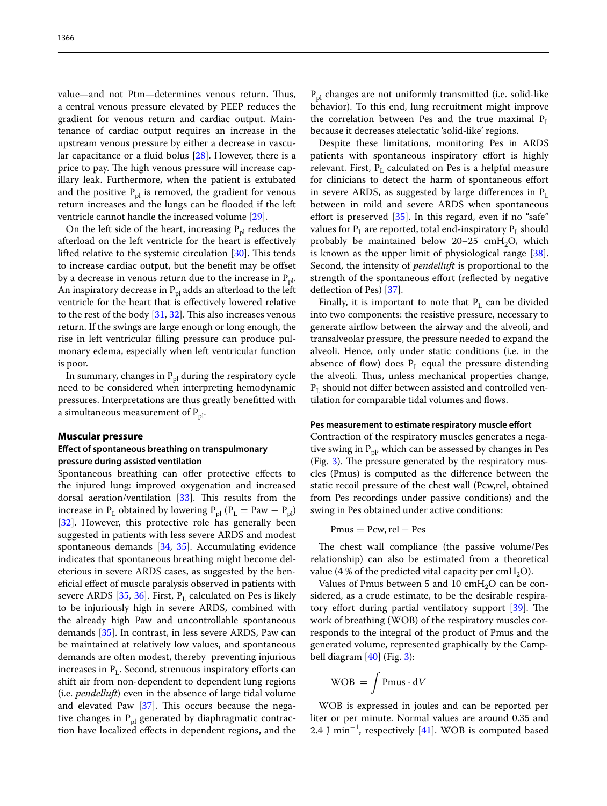value—and not Ptm—determines venous return. Thus, a central venous pressure elevated by PEEP reduces the gradient for venous return and cardiac output. Maintenance of cardiac output requires an increase in the upstream venous pressure by either a decrease in vascular capacitance or a fluid bolus [[28\]](#page-12-27). However, there is a price to pay. The high venous pressure will increase capillary leak. Furthermore, when the patient is extubated and the positive  $P_{pl}$  is removed, the gradient for venous return increases and the lungs can be flooded if the left ventricle cannot handle the increased volume [[29](#page-12-28)].

On the left side of the heart, increasing  $P_{pl}$  reduces the afterload on the left ventricle for the heart is effectively lifted relative to the systemic circulation [[30\]](#page-12-29). This tends to increase cardiac output, but the benefit may be offset by a decrease in venous return due to the increase in  $P_{pl}$ . An inspiratory decrease in  $P_{pl}$  adds an afterload to the left ventricle for the heart that is effectively lowered relative to the rest of the body [[31,](#page-12-30) [32](#page-12-31)]. This also increases venous return. If the swings are large enough or long enough, the rise in left ventricular filling pressure can produce pulmonary edema, especially when left ventricular function is poor.

In summary, changes in  $P_{pl}$  during the respiratory cycle need to be considered when interpreting hemodynamic pressures. Interpretations are thus greatly benefitted with a simultaneous measurement of  $P_{pl}$ .

# **Muscular pressure**

# **Effect of spontaneous breathing on transpulmonary pressure during assisted ventilation**

Spontaneous breathing can offer protective effects to the injured lung: improved oxygenation and increased dorsal aeration/ventilation [\[33](#page-12-32)]. This results from the increase in P<sub>L</sub> obtained by lowering P<sub>pl</sub> (P<sub>L</sub> = Paw – P<sub>pl</sub>) [[32\]](#page-12-31). However, this protective role has generally been suggested in patients with less severe ARDS and modest spontaneous demands [\[34](#page-12-33), [35](#page-12-34)]. Accumulating evidence indicates that spontaneous breathing might become deleterious in severe ARDS cases, as suggested by the beneficial effect of muscle paralysis observed in patients with severe ARDS [[35,](#page-12-34) [36](#page-12-35)]. First,  $P<sub>L</sub>$  calculated on Pes is likely to be injuriously high in severe ARDS, combined with the already high Paw and uncontrollable spontaneous demands [[35\]](#page-12-34). In contrast, in less severe ARDS, Paw can be maintained at relatively low values, and spontaneous demands are often modest, thereby preventing injurious increases in  $P<sub>L</sub>$ . Second, strenuous inspiratory efforts can shift air from non-dependent to dependent lung regions (i.e. *pendelluft*) even in the absence of large tidal volume and elevated Paw [\[37](#page-12-36)]. This occurs because the negative changes in  $P_{pl}$  generated by diaphragmatic contraction have localized effects in dependent regions, and the

 $P_{\text{pl}}$  changes are not uniformly transmitted (i.e. solid-like behavior). To this end, lung recruitment might improve the correlation between Pes and the true maximal  $P<sub>L</sub>$ because it decreases atelectatic 'solid-like' regions.

Despite these limitations, monitoring Pes in ARDS patients with spontaneous inspiratory effort is highly relevant. First,  $P<sub>L</sub>$  calculated on Pes is a helpful measure for clinicians to detect the harm of spontaneous effort in severe ARDS, as suggested by large differences in  $P<sub>L</sub>$ between in mild and severe ARDS when spontaneous effort is preserved  $[35]$  $[35]$ . In this regard, even if no "safe" values for  $P<sub>L</sub>$  are reported, total end-inspiratory  $P<sub>L</sub>$  should probably be maintained below  $20-25$  cmH<sub>2</sub>O, which is known as the upper limit of physiological range [\[38](#page-12-37)]. Second, the intensity of *pendelluft* is proportional to the strength of the spontaneous effort (reflected by negative deflection of Pes) [\[37](#page-12-36)].

Finally, it is important to note that  $P<sub>L</sub>$  can be divided into two components: the resistive pressure, necessary to generate airflow between the airway and the alveoli, and transalveolar pressure, the pressure needed to expand the alveoli. Hence, only under static conditions (i.e. in the absence of flow) does  $P_L$  equal the pressure distending the alveoli. Thus, unless mechanical properties change,  $P_L$  should not differ between assisted and controlled ventilation for comparable tidal volumes and flows.

#### **Pes measurement to estimate respiratory muscle effort**

Contraction of the respiratory muscles generates a negative swing in  $P_{pl}$ , which can be assessed by changes in Pes (Fig. [3\)](#page-7-0). The pressure generated by the respiratory muscles (Pmus) is computed as the difference between the static recoil pressure of the chest wall (Pcw,rel, obtained from Pes recordings under passive conditions) and the swing in Pes obtained under active conditions:

$$
Pmus = Pcw, rel - Pes
$$

The chest wall compliance (the passive volume/Pes relationship) can also be estimated from a theoretical value (4 % of the predicted vital capacity per cmH<sub>2</sub>O).

Values of Pmus between 5 and 10  $\text{cm}H_2\text{O}$  can be considered, as a crude estimate, to be the desirable respiratory effort during partial ventilatory support [[39](#page-13-0)]. The work of breathing (WOB) of the respiratory muscles corresponds to the integral of the product of Pmus and the generated volume, represented graphically by the Campbell diagram  $[40]$  $[40]$  (Fig. [3\)](#page-7-0):

$$
WOB = \int Pmus \cdot dV
$$

WOB is expressed in joules and can be reported per liter or per minute. Normal values are around 0.35 and 2.4 J  $min^{-1}$ , respectively [[41](#page-13-2)]. WOB is computed based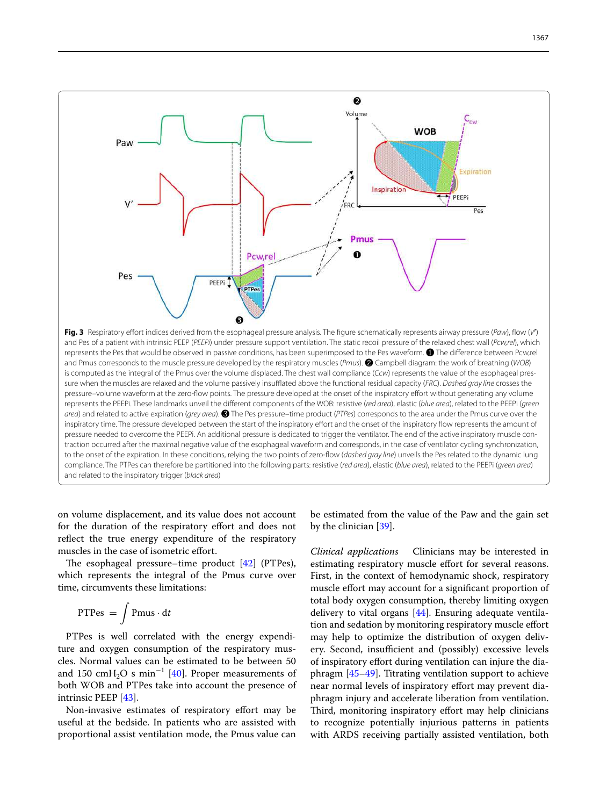

<span id="page-7-0"></span>on volume displacement, and its value does not account for the duration of the respiratory effort and does not reflect the true energy expenditure of the respiratory muscles in the case of isometric effort.

The esophageal pressure–time product [\[42](#page-13-3)] (PTPes), which represents the integral of the Pmus curve over time, circumvents these limitations:

$$
PTPes = \int Pmus \cdot dt
$$

PTPes is well correlated with the energy expenditure and oxygen consumption of the respiratory muscles. Normal values can be estimated to be between 50 and 150  $\text{cm}H_2\text{O}$  s  $\text{min}^{-1}$  [\[40](#page-13-1)]. Proper measurements of both WOB and PTPes take into account the presence of intrinsic PEEP [[43\]](#page-13-4).

Non-invasive estimates of respiratory effort may be useful at the bedside. In patients who are assisted with proportional assist ventilation mode, the Pmus value can

be estimated from the value of the Paw and the gain set by the clinician [\[39](#page-13-0)].

*Clinical applications* Clinicians may be interested in estimating respiratory muscle effort for several reasons. First, in the context of hemodynamic shock, respiratory muscle effort may account for a significant proportion of total body oxygen consumption, thereby limiting oxygen delivery to vital organs [[44\]](#page-13-5). Ensuring adequate ventilation and sedation by monitoring respiratory muscle effort may help to optimize the distribution of oxygen delivery. Second, insufficient and (possibly) excessive levels of inspiratory effort during ventilation can injure the diaphragm [[45](#page-13-6)[–49](#page-13-7)]. Titrating ventilation support to achieve near normal levels of inspiratory effort may prevent diaphragm injury and accelerate liberation from ventilation. Third, monitoring inspiratory effort may help clinicians to recognize potentially injurious patterns in patients with ARDS receiving partially assisted ventilation, both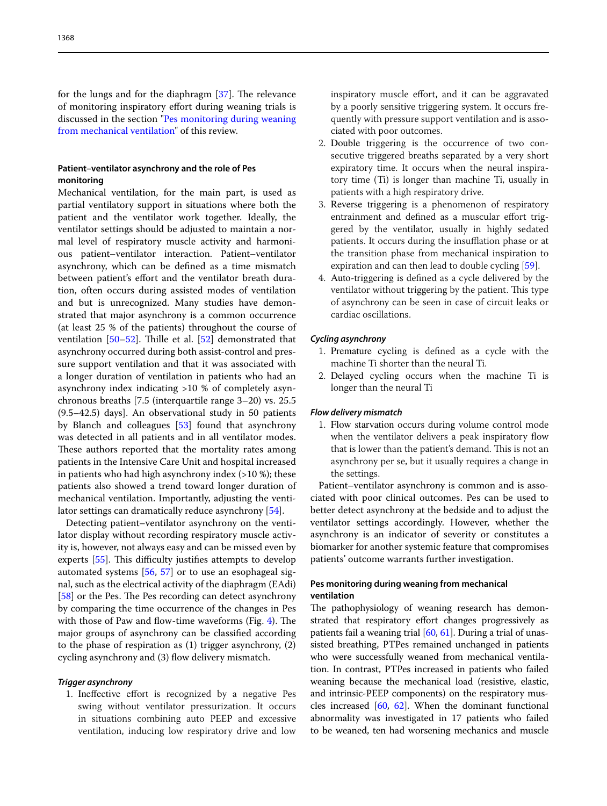for the lungs and for the diaphragm [\[37](#page-12-36)]. The relevance of monitoring inspiratory effort during weaning trials is discussed in the section "[Pes monitoring during weaning](#page-8-0)  [from mechanical ventilation](#page-8-0)" of this review.

# **Patient–ventilator asynchrony and the role of Pes monitoring**

Mechanical ventilation, for the main part, is used as partial ventilatory support in situations where both the patient and the ventilator work together. Ideally, the ventilator settings should be adjusted to maintain a normal level of respiratory muscle activity and harmonious patient–ventilator interaction. Patient–ventilator asynchrony, which can be defined as a time mismatch between patient's effort and the ventilator breath duration, often occurs during assisted modes of ventilation and but is unrecognized. Many studies have demonstrated that major asynchrony is a common occurrence (at least 25 % of the patients) throughout the course of ventilation [\[50](#page-13-8)[–52\]](#page-13-9). Thille et al. [[52\]](#page-13-9) demonstrated that asynchrony occurred during both assist-control and pressure support ventilation and that it was associated with a longer duration of ventilation in patients who had an asynchrony index indicating >10 % of completely asynchronous breaths [7.5 (interquartile range 3–20) vs. 25.5 (9.5–42.5) days]. An observational study in 50 patients by Blanch and colleagues [\[53\]](#page-13-10) found that asynchrony was detected in all patients and in all ventilator modes. These authors reported that the mortality rates among patients in the Intensive Care Unit and hospital increased in patients who had high asynchrony index (>10 %); these patients also showed a trend toward longer duration of mechanical ventilation. Importantly, adjusting the ventilator settings can dramatically reduce asynchrony [[54\]](#page-13-11).

Detecting patient–ventilator asynchrony on the ventilator display without recording respiratory muscle activity is, however, not always easy and can be missed even by experts [\[55](#page-13-12)]. This difficulty justifies attempts to develop automated systems [\[56,](#page-13-13) [57](#page-13-14)] or to use an esophageal signal, such as the electrical activity of the diaphragm (EAdi) [[58\]](#page-13-15) or the Pes. The Pes recording can detect asynchrony by comparing the time occurrence of the changes in Pes with those of Paw and flow-time waveforms (Fig. [4\)](#page-9-0). The major groups of asynchrony can be classified according to the phase of respiration as (1) trigger asynchrony, (2) cycling asynchrony and (3) flow delivery mismatch.

# *Trigger asynchrony*

1. Ineffective effort is recognized by a negative Pes swing without ventilator pressurization. It occurs in situations combining auto PEEP and excessive ventilation, inducing low respiratory drive and low

inspiratory muscle effort, and it can be aggravated by a poorly sensitive triggering system. It occurs frequently with pressure support ventilation and is associated with poor outcomes.

- 2. Double triggering is the occurrence of two consecutive triggered breaths separated by a very short expiratory time. It occurs when the neural inspiratory time (Ti) is longer than machine Ti, usually in patients with a high respiratory drive.
- 3. Reverse triggering is a phenomenon of respiratory entrainment and defined as a muscular effort triggered by the ventilator, usually in highly sedated patients. It occurs during the insufflation phase or at the transition phase from mechanical inspiration to expiration and can then lead to double cycling [\[59\]](#page-13-16).
- 4. Auto-triggering is defined as a cycle delivered by the ventilator without triggering by the patient. This type of asynchrony can be seen in case of circuit leaks or cardiac oscillations.

# *Cycling asynchrony*

- 1. Premature cycling is defined as a cycle with the machine Ti shorter than the neural Ti.
- 2. Delayed cycling occurs when the machine Ti is longer than the neural Ti

#### *Flow delivery mismatch*

1. Flow starvation occurs during volume control mode when the ventilator delivers a peak inspiratory flow that is lower than the patient's demand. This is not an asynchrony per se, but it usually requires a change in the settings.

Patient–ventilator asynchrony is common and is associated with poor clinical outcomes. Pes can be used to better detect asynchrony at the bedside and to adjust the ventilator settings accordingly. However, whether the asynchrony is an indicator of severity or constitutes a biomarker for another systemic feature that compromises patients' outcome warrants further investigation.

# <span id="page-8-0"></span>**Pes monitoring during weaning from mechanical ventilation**

The pathophysiology of weaning research has demonstrated that respiratory effort changes progressively as patients fail a weaning trial [\[60,](#page-13-17) [61\]](#page-13-18). During a trial of unassisted breathing, PTPes remained unchanged in patients who were successfully weaned from mechanical ventilation. In contrast, PTPes increased in patients who failed weaning because the mechanical load (resistive, elastic, and intrinsic-PEEP components) on the respiratory muscles increased [\[60](#page-13-17), [62\]](#page-13-19). When the dominant functional abnormality was investigated in 17 patients who failed to be weaned, ten had worsening mechanics and muscle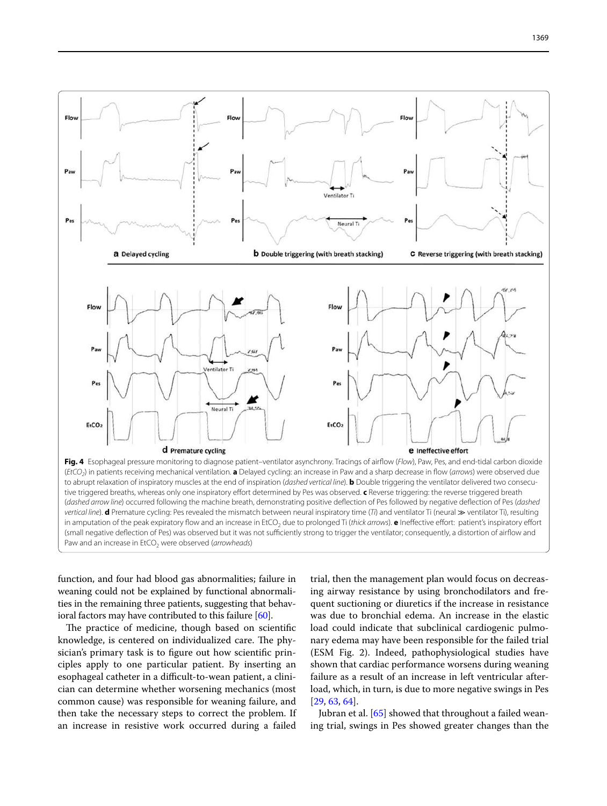

<span id="page-9-0"></span>(small negative deflection of Pes) was observed but it was not sufficiently strong to trigger the ventilator; consequently, a distortion of airflow and

Paw and an increase in EtCO<sub>2</sub> were observed (arrowheads)

function, and four had blood gas abnormalities; failure in weaning could not be explained by functional abnormalities in the remaining three patients, suggesting that behavioral factors may have contributed to this failure [\[60\]](#page-13-17).

The practice of medicine, though based on scientific knowledge, is centered on individualized care. The physician's primary task is to figure out how scientific principles apply to one particular patient. By inserting an esophageal catheter in a difficult-to-wean patient, a clinician can determine whether worsening mechanics (most common cause) was responsible for weaning failure, and then take the necessary steps to correct the problem. If an increase in resistive work occurred during a failed

trial, then the management plan would focus on decreasing airway resistance by using bronchodilators and frequent suctioning or diuretics if the increase in resistance was due to bronchial edema. An increase in the elastic load could indicate that subclinical cardiogenic pulmonary edema may have been responsible for the failed trial (ESM Fig. 2). Indeed, pathophysiological studies have shown that cardiac performance worsens during weaning failure as a result of an increase in left ventricular afterload, which, in turn, is due to more negative swings in Pes [[29,](#page-12-28) [63](#page-13-20), [64\]](#page-13-21).

Jubran et al. [[65](#page-13-22)] showed that throughout a failed weaning trial, swings in Pes showed greater changes than the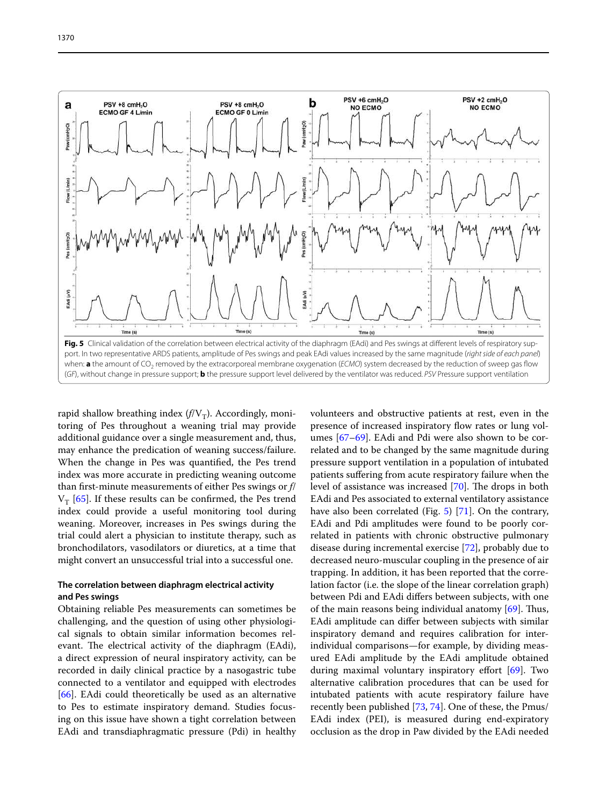



<span id="page-10-0"></span>rapid shallow breathing index  $(f/V_T)$ . Accordingly, monitoring of Pes throughout a weaning trial may provide additional guidance over a single measurement and, thus, may enhance the predication of weaning success/failure. When the change in Pes was quantified, the Pes trend index was more accurate in predicting weaning outcome than first-minute measurements of either Pes swings or *f*/  $V_T$  [\[65](#page-13-22)]. If these results can be confirmed, the Pes trend index could provide a useful monitoring tool during weaning. Moreover, increases in Pes swings during the trial could alert a physician to institute therapy, such as bronchodilators, vasodilators or diuretics, at a time that might convert an unsuccessful trial into a successful one.

# **The correlation between diaphragm electrical activity and Pes swings**

Obtaining reliable Pes measurements can sometimes be challenging, and the question of using other physiological signals to obtain similar information becomes relevant. The electrical activity of the diaphragm (EAdi), a direct expression of neural inspiratory activity, can be recorded in daily clinical practice by a nasogastric tube connected to a ventilator and equipped with electrodes [[66\]](#page-13-23). EAdi could theoretically be used as an alternative to Pes to estimate inspiratory demand. Studies focusing on this issue have shown a tight correlation between EAdi and transdiaphragmatic pressure (Pdi) in healthy

volunteers and obstructive patients at rest, even in the presence of increased inspiratory flow rates or lung volumes [[67–](#page-13-24)[69\]](#page-13-25). EAdi and Pdi were also shown to be correlated and to be changed by the same magnitude during pressure support ventilation in a population of intubated patients suffering from acute respiratory failure when the level of assistance was increased [\[70](#page-13-26)]. The drops in both EAdi and Pes associated to external ventilatory assistance have also been correlated (Fig. [5\)](#page-10-0) [\[71](#page-13-27)]. On the contrary, EAdi and Pdi amplitudes were found to be poorly correlated in patients with chronic obstructive pulmonary disease during incremental exercise [\[72](#page-13-28)], probably due to decreased neuro-muscular coupling in the presence of air trapping. In addition, it has been reported that the correlation factor (i.e. the slope of the linear correlation graph) between Pdi and EAdi differs between subjects, with one of the main reasons being individual anatomy [\[69](#page-13-25)]. Thus, EAdi amplitude can differ between subjects with similar inspiratory demand and requires calibration for interindividual comparisons—for example, by dividing measured EAdi amplitude by the EAdi amplitude obtained during maximal voluntary inspiratory effort [[69\]](#page-13-25). Two alternative calibration procedures that can be used for intubated patients with acute respiratory failure have recently been published [[73,](#page-13-29) [74](#page-13-30)]. One of these, the Pmus/ EAdi index (PEI), is measured during end-expiratory occlusion as the drop in Paw divided by the EAdi needed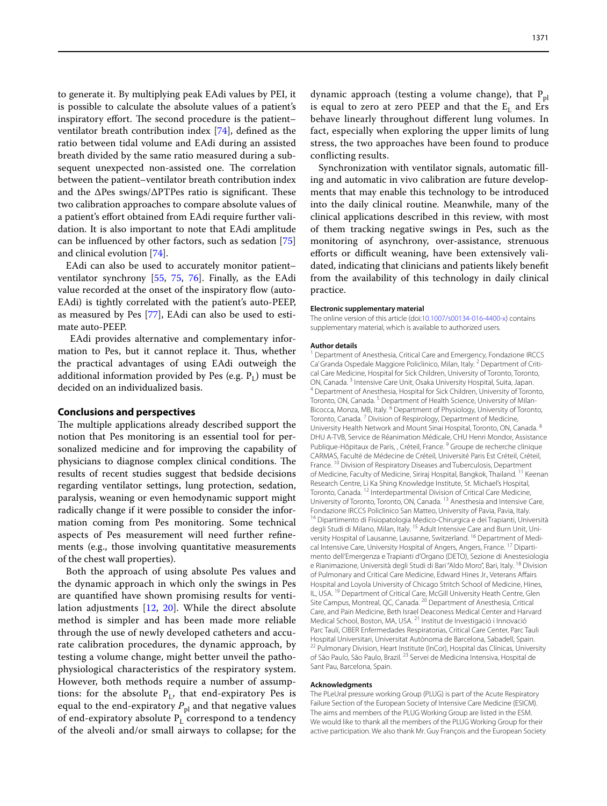to generate it. By multiplying peak EAdi values by PEI, it is possible to calculate the absolute values of a patient's inspiratory effort. The second procedure is the patient– ventilator breath contribution index [\[74](#page-13-30)], defined as the ratio between tidal volume and EAdi during an assisted breath divided by the same ratio measured during a subsequent unexpected non-assisted one. The correlation between the patient–ventilator breath contribution index and the  $\Delta$ Pes swings/ $\Delta$ PTPes ratio is significant. These two calibration approaches to compare absolute values of a patient's effort obtained from EAdi require further validation. It is also important to note that EAdi amplitude can be influenced by other factors, such as sedation [[75](#page-13-31)] and clinical evolution [[74\]](#page-13-30).

EAdi can also be used to accurately monitor patient– ventilator synchrony [\[55](#page-13-12), [75](#page-13-31), [76\]](#page-13-32). Finally, as the EAdi value recorded at the onset of the inspiratory flow (auto-EAdi) is tightly correlated with the patient's auto-PEEP, as measured by Pes [\[77](#page-13-33)], EAdi can also be used to estimate auto-PEEP.

 EAdi provides alternative and complementary information to Pes, but it cannot replace it. Thus, whether the practical advantages of using EAdi outweigh the additional information provided by Pes (e.g.  $P<sub>L</sub>$ ) must be decided on an individualized basis.

### **Conclusions and perspectives**

The multiple applications already described support the notion that Pes monitoring is an essential tool for personalized medicine and for improving the capability of physicians to diagnose complex clinical conditions. The results of recent studies suggest that bedside decisions regarding ventilator settings, lung protection, sedation, paralysis, weaning or even hemodynamic support might radically change if it were possible to consider the information coming from Pes monitoring. Some technical aspects of Pes measurement will need further refinements (e.g., those involving quantitative measurements of the chest wall properties).

Both the approach of using absolute Pes values and the dynamic approach in which only the swings in Pes are quantified have shown promising results for ventilation adjustments [\[12](#page-12-11), [20\]](#page-12-19). While the direct absolute method is simpler and has been made more reliable through the use of newly developed catheters and accurate calibration procedures, the dynamic approach, by testing a volume change, might better unveil the pathophysiological characteristics of the respiratory system. However, both methods require a number of assumptions: for the absolute  $P_L$ , that end-expiratory Pes is equal to the end-expiratory  $P_{\text{pl}}$  and that negative values of end-expiratory absolute  $P<sub>L</sub>$  correspond to a tendency of the alveoli and/or small airways to collapse; for the

dynamic approach (testing a volume change), that  $P_{pl}$ is equal to zero at zero PEEP and that the  $E<sub>I</sub>$  and Ers behave linearly throughout different lung volumes. In fact, especially when exploring the upper limits of lung stress, the two approaches have been found to produce conflicting results.

Synchronization with ventilator signals, automatic filling and automatic in vivo calibration are future developments that may enable this technology to be introduced into the daily clinical routine. Meanwhile, many of the clinical applications described in this review, with most of them tracking negative swings in Pes, such as the monitoring of asynchrony, over-assistance, strenuous efforts or difficult weaning, have been extensively validated, indicating that clinicians and patients likely benefit from the availability of this technology in daily clinical practice.

#### **Electronic supplementary material**

The online version of this article (doi:[10.1007/s00134-016-4400-x](http://dx.doi.org/10.1007/s00134-016-4400-x)) contains supplementary material, which is available to authorized users.

#### **Author details**

<sup>1</sup> Department of Anesthesia, Critical Care and Emergency, Fondazione IRCCS Ca' Granda Ospedale Maggiore Policlinico, Milan, Italy. <sup>2</sup> Department of Critical Care Medicine, Hospital for Sick Children, University of Toronto, Toronto, ON, Canada.<sup>3</sup> Intensive Care Unit, Osaka University Hospital, Suita, Japan. <sup>4</sup> Department of Anesthesia, Hospital for Sick Children, University of Toronto, Toronto, ON, Canada.<sup>5</sup> Department of Health Science, University of Milan-Bicocca, Monza, MB, Italy. <sup>6</sup> Department of Physiology, University of Toronto, Toronto, Canada.<sup>7</sup> Division of Respirology, Department of Medicine, University Health Network and Mount Sinai Hospital, Toronto, ON, Canada. <sup>8</sup> DHU A-TVB, Service de Réanimation Médicale, CHU Henri Mondor, Assistance Publique-Hôpitaux de Paris, , Créteil, France. <sup>9</sup> Groupe de recherche clinique CARMAS, Faculté de Médecine de Créteil, Université Paris Est Créteil, Créteil, France. <sup>10</sup> Division of Respiratory Diseases and Tuberculosis, Department of Medicine, Faculty of Medicine, Siriraj Hospital, Bangkok, Thailand. <sup>11</sup> Keenan Research Centre, Li Ka Shing Knowledge Institute, St. Michael's Hospital, Toronto, Canada. <sup>12</sup> Interdepartmental Division of Critical Care Medicine, University of Toronto, Toronto, ON, Canada. <sup>13</sup> Anesthesia and Intensive Care, Fondazione IRCCS Policlinico San Matteo, University of Pavia, Pavia, Italy. <sup>14</sup> Dipartimento di Fisiopatologia Medico-Chirurgica e dei Trapianti, Università degli Studi di Milano, Milan, Italy. <sup>15</sup> Adult Intensive Care and Burn Unit, University Hospital of Lausanne, Lausanne, Switzerland. <sup>16</sup> Department of Medical Intensive Care, University Hospital of Angers, Angers, France.<sup>17</sup> Dipartimento dell'Emergenza e Trapianti d'Organo (DETO), Sezione di Anestesiologia e Rianimazione, Università degli Studi di Bari "Aldo Moro", Bari, Italy. <sup>18</sup> Division of Pulmonary and Critical Care Medicine, Edward Hines Jr., Veterans Affairs Hospital and Loyola University of Chicago Stritch School of Medicine, Hines, IL, USA.<sup>19</sup> Department of Critical Care, McGill University Heath Centre, Glen Site Campus, Montreal, QC, Canada. <sup>20</sup> Department of Anesthesia, Critical Care, and Pain Medicine, Beth Israel Deaconess Medical Center and Harvard Medical School, Boston, MA, USA. <sup>21</sup> Institut de Investigació i Innovació Parc Taulí, CIBER Enfermedades Respiratorias, Critical Care Center, Parc Tauli Hospital Universitari, Universitat Autònoma de Barcelona, Sabadell, Spain. <sup>22</sup> Pulmonary Division, Heart Institute (InCor), Hospital das Clínicas, University of São Paulo, São Paulo, Brazil. <sup>23</sup> Servei de Medicina Intensiva, Hospital de Sant Pau, Barcelona, Spain.

#### **Acknowledgments**

The PLeUral pressure working Group (PLUG) is part of the Acute Respiratory Failure Section of the European Society of Intensive Care Medicine (ESICM). The aims and members of the PLUG Working Group are listed in the ESM. We would like to thank all the members of the PLUG Working Group for their active participation. We also thank Mr. Guy François and the European Society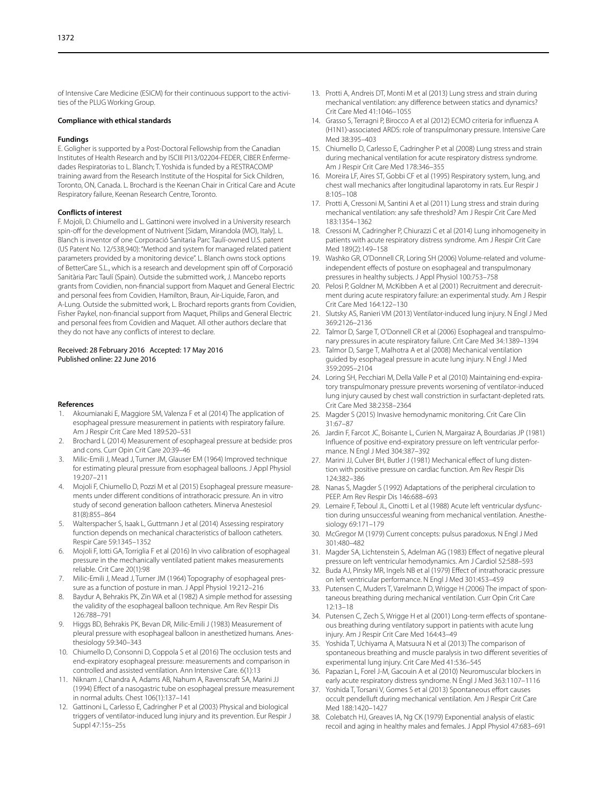of Intensive Care Medicine (ESICM) for their continuous support to the activities of the PLUG Working Group.

#### **Compliance with ethical standards**

#### **Fundings**

E. Goligher is supported by a Post-Doctoral Fellowship from the Canadian Institutes of Health Research and by ISCIII PI13/02204-FEDER, CIBER Enfermedades Respiratorias to L. Blanch; T. Yoshida is funded by a RESTRACOMP training award from the Research Institute of the Hospital for Sick Children, Toronto, ON, Canada. L. Brochard is the Keenan Chair in Critical Care and Acute Respiratory failure, Keenan Research Centre, Toronto.

#### **Conflicts of interest**

F. Mojoli, D. Chiumello and L. Gattinoni were involved in a University research spin-off for the development of Nutrivent [Sidam, Mirandola (MO), Italy]. L. Blanch is inventor of one Corporació Sanitaria Parc Taulí-owned U.S. patent (US Patent No. 12/538,940): "Method and system for managed related patient parameters provided by a monitoring device". L. Blanch owns stock options of BetterCare S.L., which is a research and development spin off of Corporació Sanitària Parc Taulí (Spain). Outside the submitted work, J. Mancebo reports grants from Covidien, non-financial support from Maquet and General Electric and personal fees from Covidien, Hamilton, Braun, Air-Liquide, Faron, and A-Lung. Outside the submitted work, L. Brochard reports grants from Covidien, Fisher Paykel, non-financial support from Maquet, Philips and General Electric and personal fees from Covidien and Maquet. All other authors declare that they do not have any conflicts of interest to declare.

### Received: 28 February 2016 Accepted: 17 May 2016 Published online: 22 June 2016

#### **References**

- <span id="page-12-0"></span>1. Akoumianaki E, Maggiore SM, Valenza F et al (2014) The application of esophageal pressure measurement in patients with respiratory failure. Am J Respir Crit Care Med 189:520–531
- <span id="page-12-1"></span>2. Brochard L (2014) Measurement of esophageal pressure at bedside: pros and cons. Curr Opin Crit Care 20:39–46
- <span id="page-12-2"></span>3. Milic-Emili J, Mead J, Turner JM, Glauser EM (1964) Improved technique for estimating pleural pressure from esophageal balloons. J Appl Physiol 19:207–211
- <span id="page-12-3"></span>4. Mojoli F, Chiumello D, Pozzi M et al (2015) Esophageal pressure measurements under different conditions of intrathoracic pressure. An in vitro study of second generation balloon catheters. Minerva Anestesiol 81(8):855–864
- <span id="page-12-4"></span>5. Walterspacher S, Isaak L, Guttmann J et al (2014) Assessing respiratory function depends on mechanical characteristics of balloon catheters. Respir Care 59:1345–1352
- <span id="page-12-5"></span>6. Mojoli F, Iotti GA, Torriglia F et al (2016) In vivo calibration of esophageal pressure in the mechanically ventilated patient makes measurements reliable. Crit Care 20(1):98
- <span id="page-12-6"></span>7. Milic-Emili J, Mead J, Turner JM (1964) Topography of esophageal pressure as a function of posture in man. J Appl Physiol 19:212–216
- <span id="page-12-7"></span>8. Baydur A, Behrakis PK, Zin WA et al (1982) A simple method for assessing the validity of the esophageal balloon technique. Am Rev Respir Dis 126:788–791
- <span id="page-12-8"></span>9. Higgs BD, Behrakis PK, Bevan DR, Milic-Emili J (1983) Measurement of pleural pressure with esophageal balloon in anesthetized humans. Anesthesiology 59:340–343
- <span id="page-12-9"></span>10. Chiumello D, Consonni D, Coppola S et al (2016) The occlusion tests and end-expiratory esophageal pressure: measurements and comparison in controlled and assisted ventilation. Ann Intensive Care. 6(1):13
- <span id="page-12-10"></span>11. Niknam J, Chandra A, Adams AB, Nahum A, Ravenscraft SA, Marini JJ (1994) Effect of a nasogastric tube on esophageal pressure measurement in normal adults. Chest 106(1):137–141
- <span id="page-12-11"></span>12. Gattinoni L, Carlesso E, Cadringher P et al (2003) Physical and biological triggers of ventilator-induced lung injury and its prevention. Eur Respir J Suppl 47:15s–25s
- <span id="page-12-12"></span>13. Protti A, Andreis DT, Monti M et al (2013) Lung stress and strain during mechanical ventilation: any difference between statics and dynamics? Crit Care Med 41:1046–1055
- <span id="page-12-13"></span>14. Grasso S, Terragni P, Birocco A et al (2012) ECMO criteria for influenza A (H1N1)-associated ARDS: role of transpulmonary pressure. Intensive Care Med 38:395–403
- <span id="page-12-14"></span>15. Chiumello D, Carlesso E, Cadringher P et al (2008) Lung stress and strain during mechanical ventilation for acute respiratory distress syndrome. Am J Respir Crit Care Med 178:346–355
- <span id="page-12-15"></span>16. Moreira LF, Aires ST, Gobbi CF et al (1995) Respiratory system, lung, and chest wall mechanics after longitudinal laparotomy in rats. Eur Respir J 8:105–108
- <span id="page-12-16"></span>17. Protti A, Cressoni M, Santini A et al (2011) Lung stress and strain during mechanical ventilation: any safe threshold? Am J Respir Crit Care Med 183:1354–1362
- <span id="page-12-17"></span>18. Cressoni M, Cadringher P, Chiurazzi C et al (2014) Lung inhomogeneity in patients with acute respiratory distress syndrome. Am J Respir Crit Care Med 189(2):149–158
- <span id="page-12-18"></span>19. Washko GR, O'Donnell CR, Loring SH (2006) Volume-related and volumeindependent effects of posture on esophageal and transpulmonary pressures in healthy subjects. J Appl Physiol 100:753–758
- <span id="page-12-19"></span>20. Pelosi P, Goldner M, McKibben A et al (2001) Recruitment and derecruitment during acute respiratory failure: an experimental study. Am J Respir Crit Care Med 164:122–130
- <span id="page-12-20"></span>21. Slutsky AS, Ranieri VM (2013) Ventilator-induced lung injury. N Engl J Med 369:2126–2136
- <span id="page-12-21"></span>22. Talmor D, Sarge T, O'Donnell CR et al (2006) Esophageal and transpulmonary pressures in acute respiratory failure. Crit Care Med 34:1389–1394
- <span id="page-12-22"></span>23. Talmor D, Sarge T, Malhotra A et al (2008) Mechanical ventilation guided by esophageal pressure in acute lung injury. N Engl J Med 359:2095–2104
- <span id="page-12-23"></span>24. Loring SH, Pecchiari M, Della Valle P et al (2010) Maintaining end-expiratory transpulmonary pressure prevents worsening of ventilator-induced lung injury caused by chest wall constriction in surfactant-depleted rats. Crit Care Med 38:2358–2364
- <span id="page-12-24"></span>25. Magder S (2015) Invasive hemodynamic monitoring. Crit Care Clin 31:67–87
- <span id="page-12-25"></span>26. Jardin F, Farcot JC, Boisante L, Curien N, Margairaz A, Bourdarias JP (1981) Influence of positive end-expiratory pressure on left ventricular performance. N Engl J Med 304:387–392
- <span id="page-12-26"></span>27. Marini JJ, Culver BH, Butler J (1981) Mechanical effect of lung distention with positive pressure on cardiac function. Am Rev Respir Dis 124:382–386
- <span id="page-12-27"></span>28. Nanas S, Magder S (1992) Adaptations of the peripheral circulation to PEEP. Am Rev Respir Dis 146:688–693
- <span id="page-12-28"></span>29. Lemaire F, Teboul JL, Cinotti L et al (1988) Acute left ventricular dysfunction during unsuccessful weaning from mechanical ventilation. Anesthesiology 69:171–179
- <span id="page-12-29"></span>30. McGregor M (1979) Current concepts: pulsus paradoxus. N Engl J Med 301:480–482
- <span id="page-12-30"></span>31. Magder SA, Lichtenstein S, Adelman AG (1983) Effect of negative pleural pressure on left ventricular hemodynamics. Am J Cardiol 52:588–593
- <span id="page-12-31"></span>32. Buda AJ, Pinsky MR, Ingels NB et al (1979) Effect of intrathoracic pressure on left ventricular performance. N Engl J Med 301:453–459
- <span id="page-12-32"></span>33. Putensen C, Muders T, Varelmann D, Wrigge H (2006) The impact of spontaneous breathing during mechanical ventilation. Curr Opin Crit Care 12:13–18
- <span id="page-12-33"></span>34. Putensen C, Zech S, Wrigge H et al (2001) Long-term effects of spontaneous breathing during ventilatory support in patients with acute lung injury. Am J Respir Crit Care Med 164:43–49
- <span id="page-12-34"></span>35. Yoshida T, Uchiyama A, Matsuura N et al (2013) The comparison of spontaneous breathing and muscle paralysis in two different severities of experimental lung injury. Crit Care Med 41:536–545
- <span id="page-12-35"></span>36. Papazian L, Forel J-M, Gacouin A et al (2010) Neuromuscular blockers in early acute respiratory distress syndrome. N Engl J Med 363:1107–1116
- <span id="page-12-36"></span>37. Yoshida T, Torsani V, Gomes S et al (2013) Spontaneous effort causes occult pendelluft during mechanical ventilation. Am J Respir Crit Care Med 188:1420–1427
- <span id="page-12-37"></span>38. Colebatch HJ, Greaves IA, Ng CK (1979) Exponential analysis of elastic recoil and aging in healthy males and females. J Appl Physiol 47:683–691